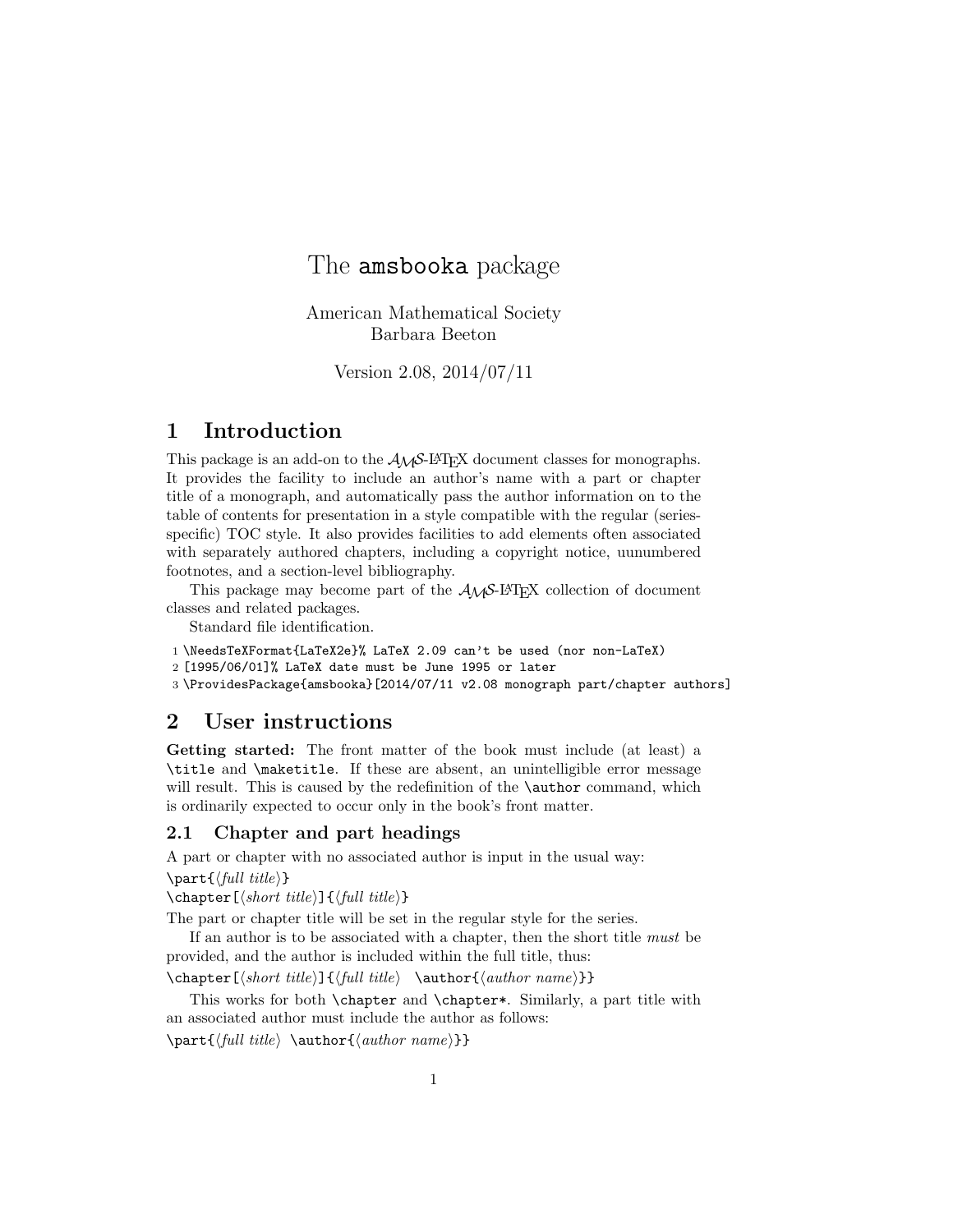# The amsbooka package

American Mathematical Society Barbara Beeton

Version 2.08, 2014/07/11

# 1 Introduction

This package is an add-on to the  $A_{\mathcal{M}}S$ -LAT<sub>E</sub>X document classes for monographs. It provides the facility to include an author's name with a part or chapter title of a monograph, and automatically pass the author information on to the table of contents for presentation in a style compatible with the regular (seriesspecific) TOC style. It also provides facilities to add elements often associated with separately authored chapters, including a copyright notice, uunumbered footnotes, and a section-level bibliography.

This package may become part of the  $A_{\mathcal{M}}S$ -L<sup>AT</sup>EX collection of document classes and related packages.

Standard file identification.

```
1 \NeedsTeXFormat{LaTeX2e}% LaTeX 2.09 can't be used (nor non-LaTeX)
```

```
2 [1995/06/01]% LaTeX date must be June 1995 or later
```
3 \ProvidesPackage{amsbooka}[2014/07/11 v2.08 monograph part/chapter authors]

# 2 User instructions

Getting started: The front matter of the book must include (at least) a \title and \maketitle. If these are absent, an unintelligible error message will result. This is caused by the redefinition of the **\author** command, which is ordinarily expected to occur only in the book's front matter.

### 2.1 Chapter and part headings

A part or chapter with no associated author is input in the usual way:  $\partial$ 

\chapter[hshort titlei]{hfull titlei}

The part or chapter title will be set in the regular style for the series.

If an author is to be associated with a chapter, then the short title must be provided, and the author is included within the full title, thus:

 $\begin{equation*} \begin{equation*} \begin{equation*} \begin{pmatrix} \mathit{c}\end{pmatrix} \mathit{d}\end{equation*} \begin{equation*} \begin{equation*} \begin{pmatrix} \mathit{c}\end{pmatrix} \mathit{e} \end{equation*} \begin{equation*} \begin{pmatrix} \mathit{c}\end{pmatrix} \mathit{e} \end{equation*} \begin{equation*} \begin{pmatrix} \mathit{c}\end{pmatrix} \mathit{e} \end{equation*} \begin{equation*} \begin{pmatrix} \mathit{c}\end{pmatrix} \mathit{f} \end{equation*} \begin{equation*} \begin{pmatrix} \math$ 

This works for both \chapter and \chapter\*. Similarly, a part title with an associated author must include the author as follows:

 $\partial \partial \theta$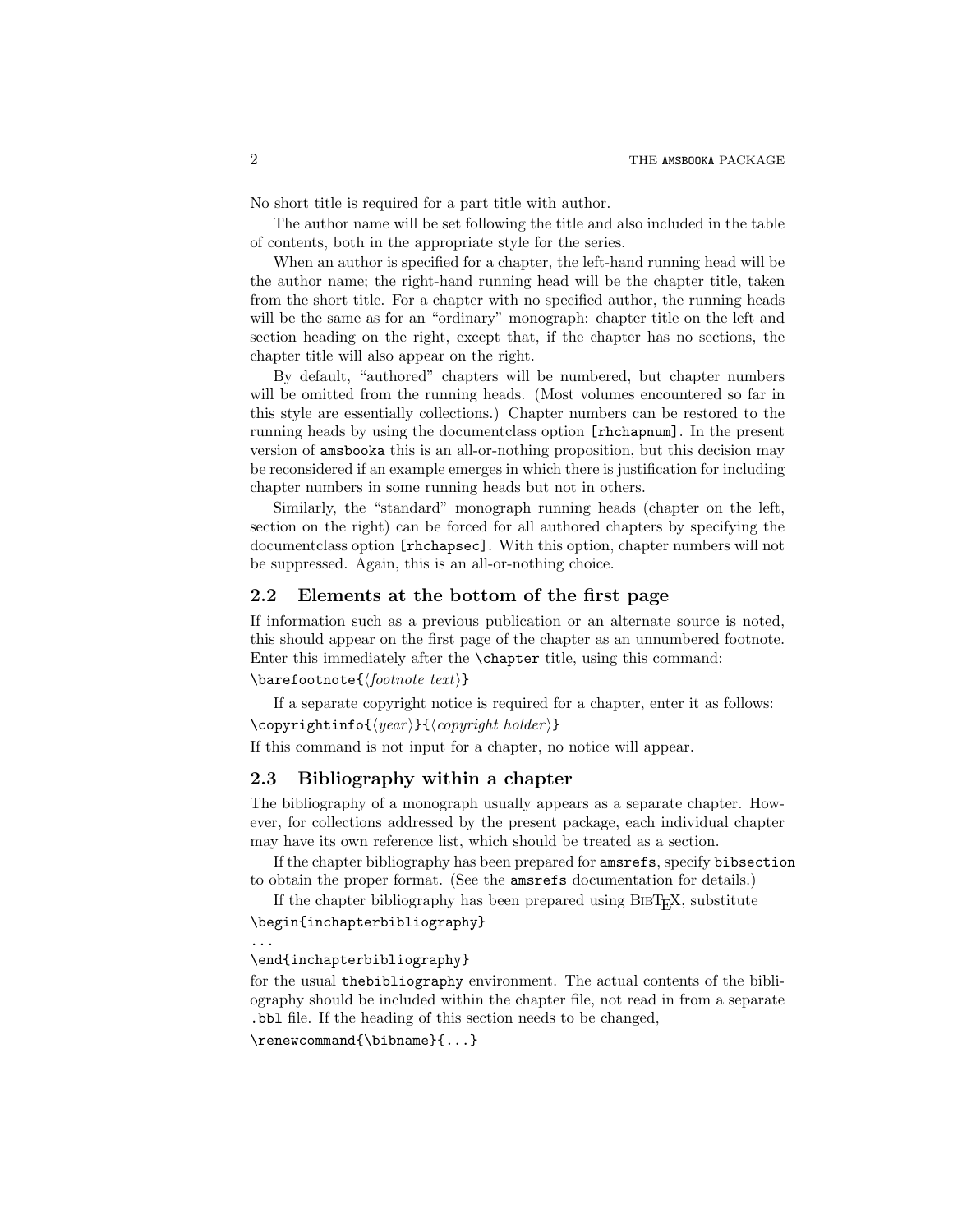No short title is required for a part title with author.

The author name will be set following the title and also included in the table of contents, both in the appropriate style for the series.

When an author is specified for a chapter, the left-hand running head will be the author name; the right-hand running head will be the chapter title, taken from the short title. For a chapter with no specified author, the running heads will be the same as for an "ordinary" monograph: chapter title on the left and section heading on the right, except that, if the chapter has no sections, the chapter title will also appear on the right.

By default, "authored" chapters will be numbered, but chapter numbers will be omitted from the running heads. (Most volumes encountered so far in this style are essentially collections.) Chapter numbers can be restored to the running heads by using the documentclass option [rhchapnum]. In the present version of amsbooka this is an all-or-nothing proposition, but this decision may be reconsidered if an example emerges in which there is justification for including chapter numbers in some running heads but not in others.

Similarly, the "standard" monograph running heads (chapter on the left, section on the right) can be forced for all authored chapters by specifying the documentclass option [rhchapsec]. With this option, chapter numbers will not be suppressed. Again, this is an all-or-nothing choice.

### 2.2 Elements at the bottom of the first page

If information such as a previous publication or an alternate source is noted, this should appear on the first page of the chapter as an unnumbered footnote. Enter this immediately after the \chapter title, using this command:

### $\bar{\otimes}$

If a separate copyright notice is required for a chapter, enter it as follows:  $\text{Copyright}$  holder  $\text{Cyc}$ 

If this command is not input for a chapter, no notice will appear.

### 2.3 Bibliography within a chapter

The bibliography of a monograph usually appears as a separate chapter. However, for collections addressed by the present package, each individual chapter may have its own reference list, which should be treated as a section.

If the chapter bibliography has been prepared for amsrefs, specify bibsection to obtain the proper format. (See the amsrefs documentation for details.)

If the chapter bibliography has been prepared using  $BIBT<sub>F</sub>X$ , substitute \begin{inchapterbibliography}

...

\end{inchapterbibliography}

for the usual thebibliography environment. The actual contents of the bibliography should be included within the chapter file, not read in from a separate .bbl file. If the heading of this section needs to be changed,

\renewcommand{\bibname}{...}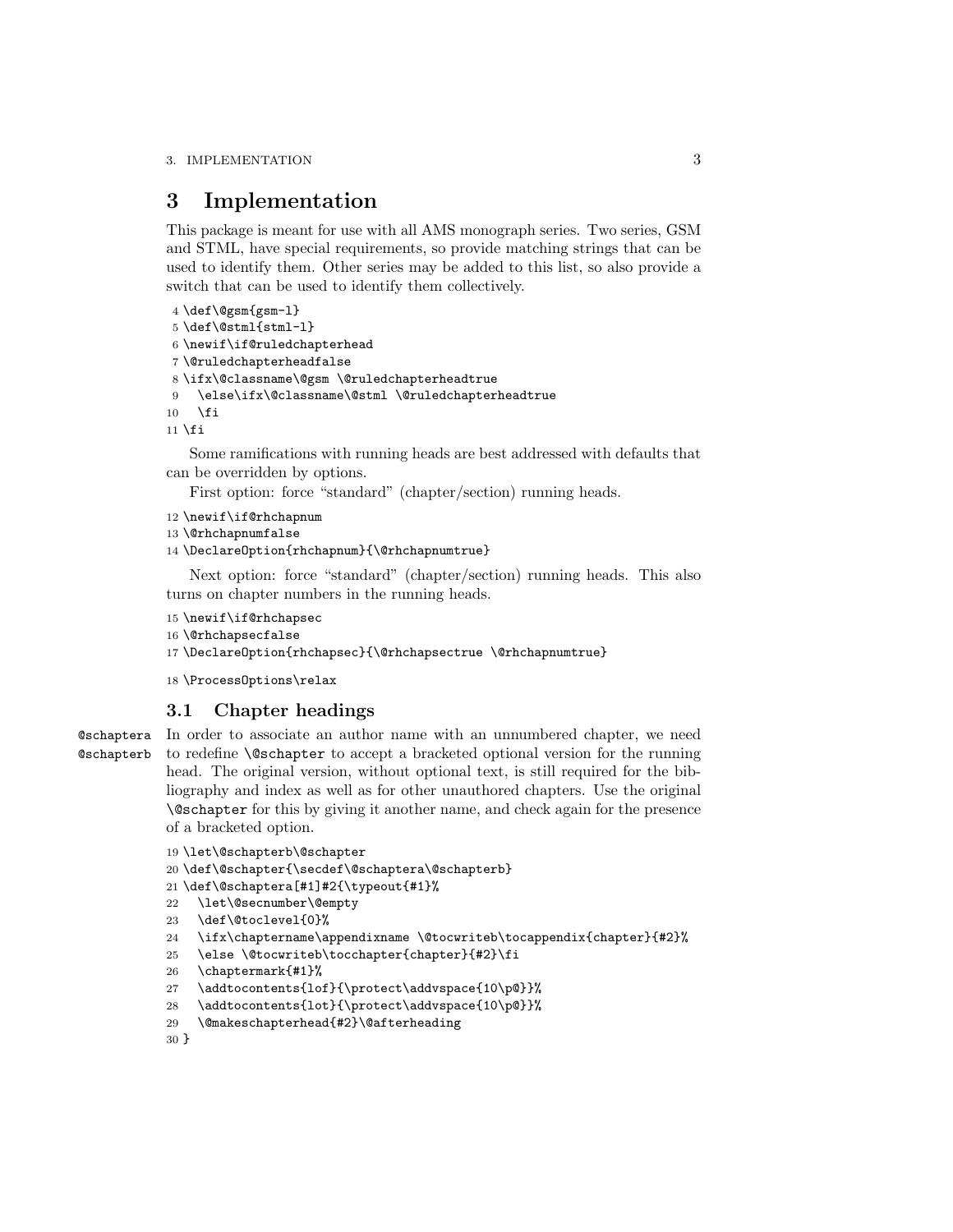# 3 Implementation

This package is meant for use with all AMS monograph series. Two series, GSM and STML, have special requirements, so provide matching strings that can be used to identify them. Other series may be added to this list, so also provide a switch that can be used to identify them collectively.

```
4 \def\@gsm{gsm-l}
5 \def\@stml{stml-l}
6 \newif\if@ruledchapterhead
7 \@ruledchapterheadfalse
8 \ifx\@classname\@gsm \@ruledchapterheadtrue
9 \else\ifx\@classname\@stml \@ruledchapterheadtrue
10 \fi
11 \fi
```
Some ramifications with running heads are best addressed with defaults that can be overridden by options.

First option: force "standard" (chapter/section) running heads.

```
12 \newif\if@rhchapnum
```

```
13 \@rhchapnumfalse
```

```
14 \DeclareOption{rhchapnum}{\@rhchapnumtrue}
```
Next option: force "standard" (chapter/section) running heads. This also turns on chapter numbers in the running heads.

```
15 \newif\if@rhchapsec
16 \@rhchapsecfalse
17 \DeclareOption{rhchapsec}{\@rhchapsectrue \@rhchapnumtrue}
```
18 \ProcessOptions\relax

### 3.1 Chapter headings

**@schaptera** @schapterb

In order to associate an author name with an unnumbered chapter, we need to redefine \@schapter to accept a bracketed optional version for the running head. The original version, without optional text, is still required for the bibliography and index as well as for other unauthored chapters. Use the original \@schapter for this by giving it another name, and check again for the presence of a bracketed option.

```
19 \let\@schapterb\@schapter
```

```
20 \def\@schapter{\secdef\@schaptera\@schapterb}
```
21 \def\@schaptera[#1]#2{\typeout{#1}%

```
22 \let\@secnumber\@empty
```

```
23 \def\@toclevel{0}%
```

```
24 \ifx\chaptername\appendixname \@tocwriteb\tocappendix{chapter}{#2}%
```

```
25 \else \@tocwriteb\tocchapter{chapter}{#2}\fi
```

```
26 \chaptermark{#1}%
```

```
27 \addtocontents{lof}{\protect\addvspace{10\p@}}%
```

```
28 \addtocontents{lot}{\protect\addvspace{10\p@}}%
```

```
29 \@makeschapterhead{#2}\@afterheading
```

```
30 }
```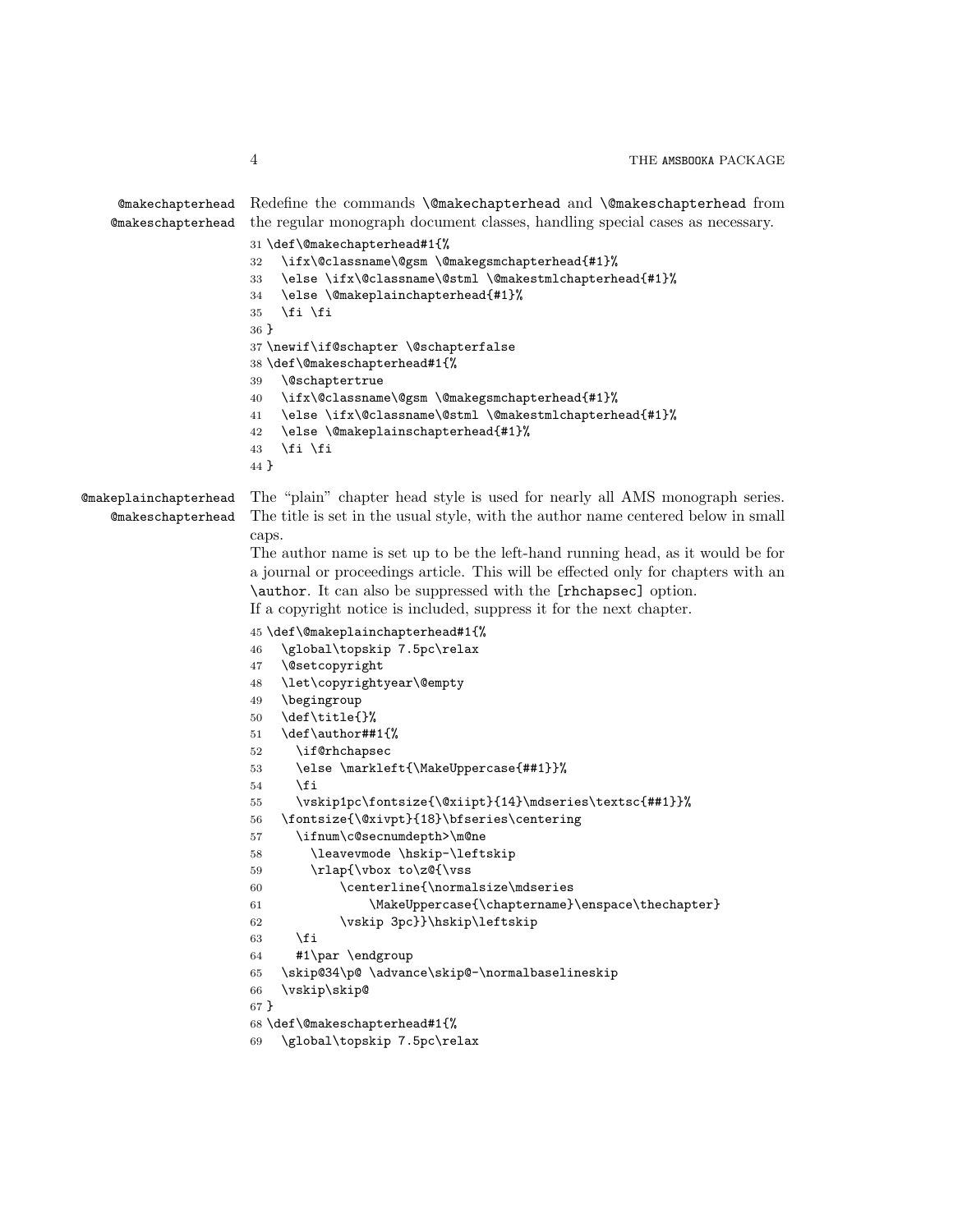```
@makechapterhead
Redefine the commands \@makechapterhead and \@makeschapterhead from
    @makeschapterhead
                      the regular monograph document classes, handling special cases as necessary.
                      31 \def\@makechapterhead#1{%
                      32 \ifx\@classname\@gsm \@makegsmchapterhead{#1}%
                      33 \else \ifx\@classname\@stml \@makestmlchapterhead{#1}%
                      34 \else \@makeplainchapterhead{#1}%
                      35 \fi \fi
                      36 }
                      37 \newif\if@schapter \@schapterfalse
                      38 \def\@makeschapterhead#1{%
                      39 \@schaptertrue
                      40 \ifx\@classname\@gsm \@makegsmchapterhead{#1}%
                      41 \else \ifx\@classname\@stml \@makestmlchapterhead{#1}%
                      42 \else \@makeplainschapterhead{#1}%
                      43 \ifmmode \big\vert \text{ifi}\ \fi44 }
@makeplainchapterhead
    @makeschapterhead
                      The "plain" chapter head style is used for nearly all AMS monograph series.
                      The title is set in the usual style, with the author name centered below in small
                       caps.
                       The author name is set up to be the left-hand running head, as it would be for
                       a journal or proceedings article. This will be effected only for chapters with an
                       \author. It can also be suppressed with the [rhchapsec] option.
                      If a copyright notice is included, suppress it for the next chapter.
                      45 \def\@makeplainchapterhead#1{%
                      46 \global\topskip 7.5pc\relax
                      47 \@setcopyright
                      48 \let\copyrightyear\@empty
                      49 \begingroup
                      50 \def\title{}%
                      51 \def\author##1{%
                      52 \if@rhchapsec
                      53 \else \markleft{\MakeUppercase{##1}}%
                      54 \fi
                      55 \vskip1pc\fontsize{\@xiipt}{14}\mdseries\textsc{##1}}%
                      56 \fontsize{\@xivpt}{18}\bfseries\centering
                      57 \ifnum\c@secnumdepth>\m@ne
                      58 \leavevmode \hskip-\leftskip
                      59 \rlap{\vbox to\z@{\vss
                      60 \centerline{\normalsize\mdseries
                      61 \MakeUppercase{\chaptername}\enspace\thechapter}
                      62 \vskip 3pc}}\hskip\leftskip
                      63 \fi
                      64 #1\par \endgroup
                      65 \skip@34\p@ \advance\skip@-\normalbaselineskip
                      66 \vskip\skip@
                      67 }
                      68 \def\@makeschapterhead#1{%
                      69 \global\topskip 7.5pc\relax
```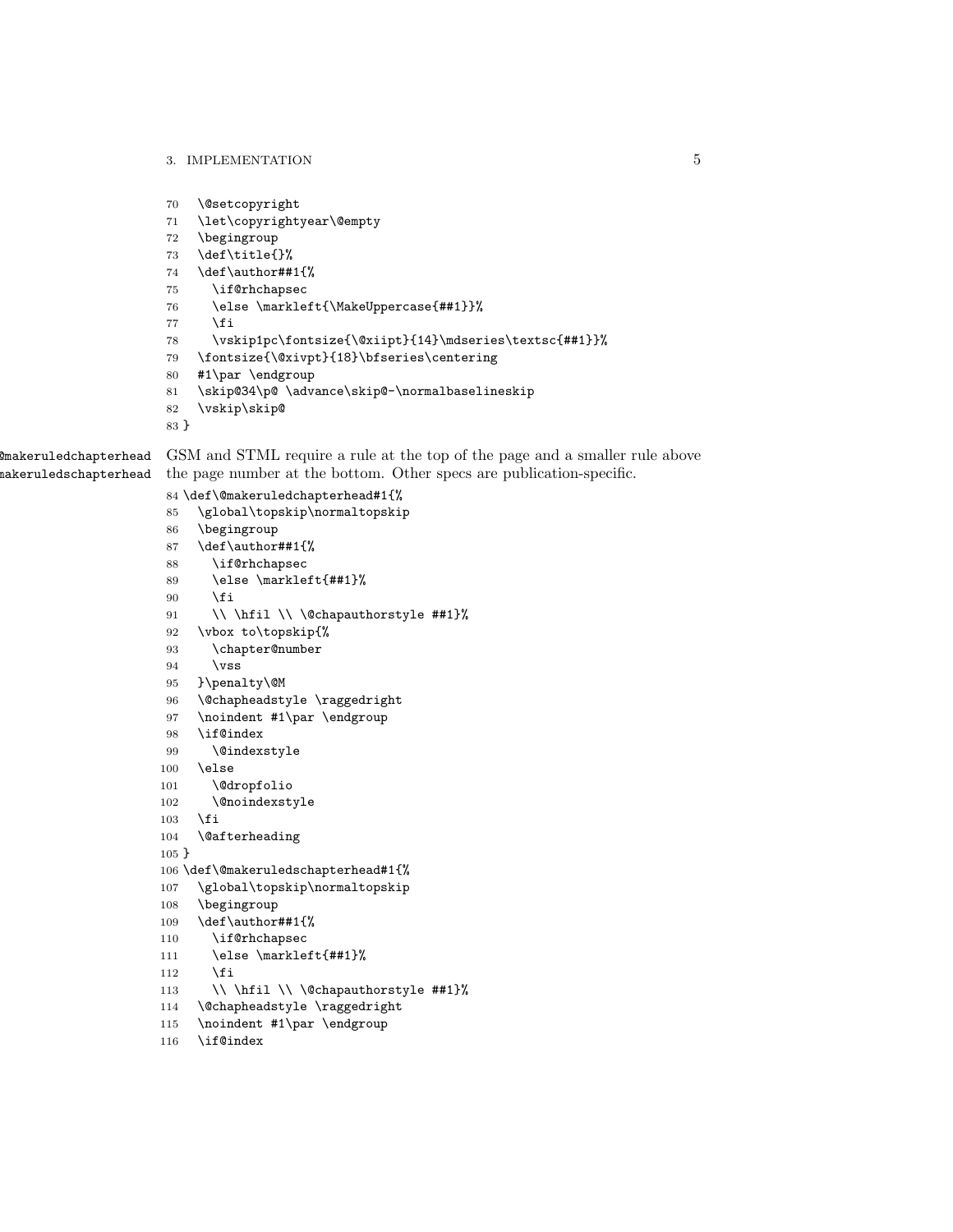```
70 \@setcopyright
                     71 \let\copyrightyear\@empty
                     72 \begingroup
                     73 \def\title{}%
                     74 \def\author##1{%
                     75 \if@rhchapsec
                     76 \else \markleft{\MakeUppercase{##1}}%
                     77 \fi
                     78 \vskip1pc\fontsize{\@xiipt}{14}\mdseries\textsc{##1}}%
                     79 \fontsize{\@xivpt}{18}\bfseries\centering
                     80 #1\par \endgroup
                     81 \skip@34\p@ \advance\skip@-\normalbaselineskip
                     82 \vskip\skip@
                     83 }
@makeruledchapterhead
@makeruledschapterhead
                     GSM and STML require a rule at the top of the page and a smaller rule above
                     the page number at the bottom. Other specs are publication-specific.
                     84 \def\@makeruledchapterhead#1{%
                     85 \global\topskip\normaltopskip
                     86 \begingroup
                     87 \def\author##1{%
                     88 \if@rhchapsec
                     89 \else \markleft{##1}%
                     90 \overline{\text{f}i}91 \\ \hfil \\ \@chapauthorstyle ##1}%
                     92 \vbox to\topskip{%
                     93 \chapter@number
                     94 \forallss
                     95 }\penalty\@M
                     96 \@chapheadstyle \raggedright
                     97 \noindent #1\par \endgroup
                     98 \if@index
                     99 \@indexstyle
                    100 \else
                    101 \@dropfolio
                    102 \@noindexstyle
                    103 \fi
                    104 \@afterheading
                    105 }
                    106 \def\@makeruledschapterhead#1{%
                    107 \global\topskip\normaltopskip
                    108 \begingroup
                    109 \def\author##1{%
                    110 \if@rhchapsec
                    111 \else \markleft{##1}%
                    112 \fi
                    113 \\ \hfil \\ \@chapauthorstyle ##1}%
                    114 \@chapheadstyle \raggedright
                    115 \noindent #1\par \endgroup
                    116 \if@index
```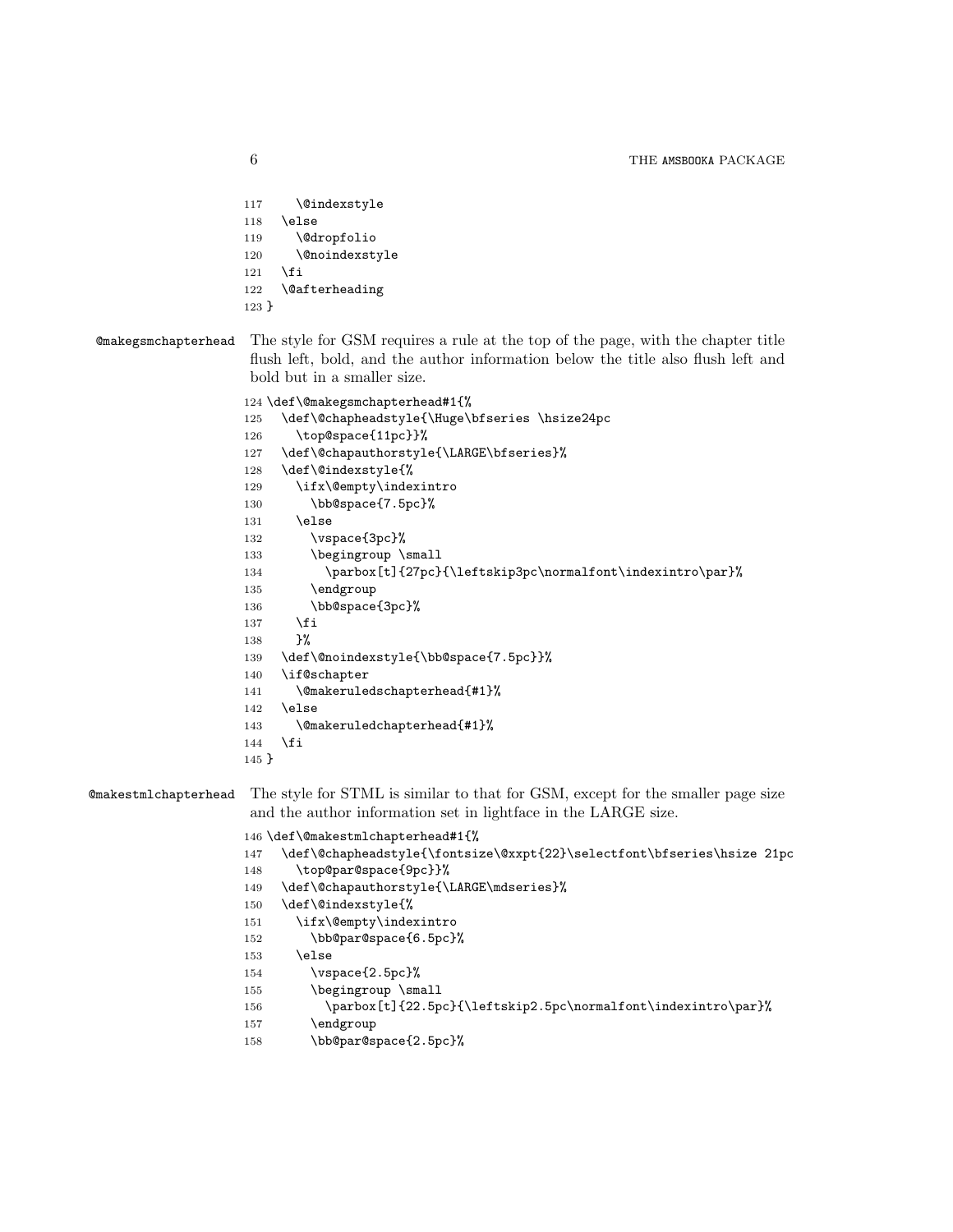```
117 \@indexstyle
118 \else
119 \@dropfolio
120 \@noindexstyle
121 \fi
122 \@afterheading
123 }
```
### @makegsmchapterhead The style for GSM requires a rule at the top of the page, with the chapter title flush left, bold, and the author information below the title also flush left and bold but in a smaller size.

```
124 \def\@makegsmchapterhead#1{%
125 \def\@chapheadstyle{\Huge\bfseries \hsize24pc
126 \top@space{11pc}}%
127 \def\@chapauthorstyle{\LARGE\bfseries}%
128 \def\@indexstyle{%
129 \ifx\@empty\indexintro
130 \bb@space{7.5pc}%
131 \else
132 \vspace{3pc}%
133 \begingroup \small
134 \parbox[t]{27pc}{\leftskip3pc\normalfont\indexintro\par}%
135 \endgroup
136 \bb@space{3pc}%
137 \fi
138 }%
139 \def\@noindexstyle{\bb@space{7.5pc}}%
140 \if@schapter
141 \@makeruledschapterhead{#1}%
142 \else
143 \@makeruledchapterhead{#1}%
144 \fi
145 }
```
@makestmlchapterhead The style for STML is similar to that for GSM, except for the smaller page size and the author information set in lightface in the LARGE size.

```
146 \def\@makestmlchapterhead#1{%
```

```
147 \def\@chapheadstyle{\fontsize\@xxpt{22}\selectfont\bfseries\hsize 21pc
```

```
148 \top@par@space{9pc}}%
```

```
149 \def\@chapauthorstyle{\LARGE\mdseries}%
```

```
150 \def\@indexstyle{%
```

```
151 \ifx\@empty\indexintro
```

```
152 \bb@par@space{6.5pc}%
```

```
153 \else
```

```
154 \vspace{2.5pc}%
```

```
155 \begingroup \small
```

```
156 \parbox[t]{22.5pc}{\leftskip2.5pc\normalfont\indexintro\par}%
```
157 \endgroup

```
158 \bb@par@space{2.5pc}%
```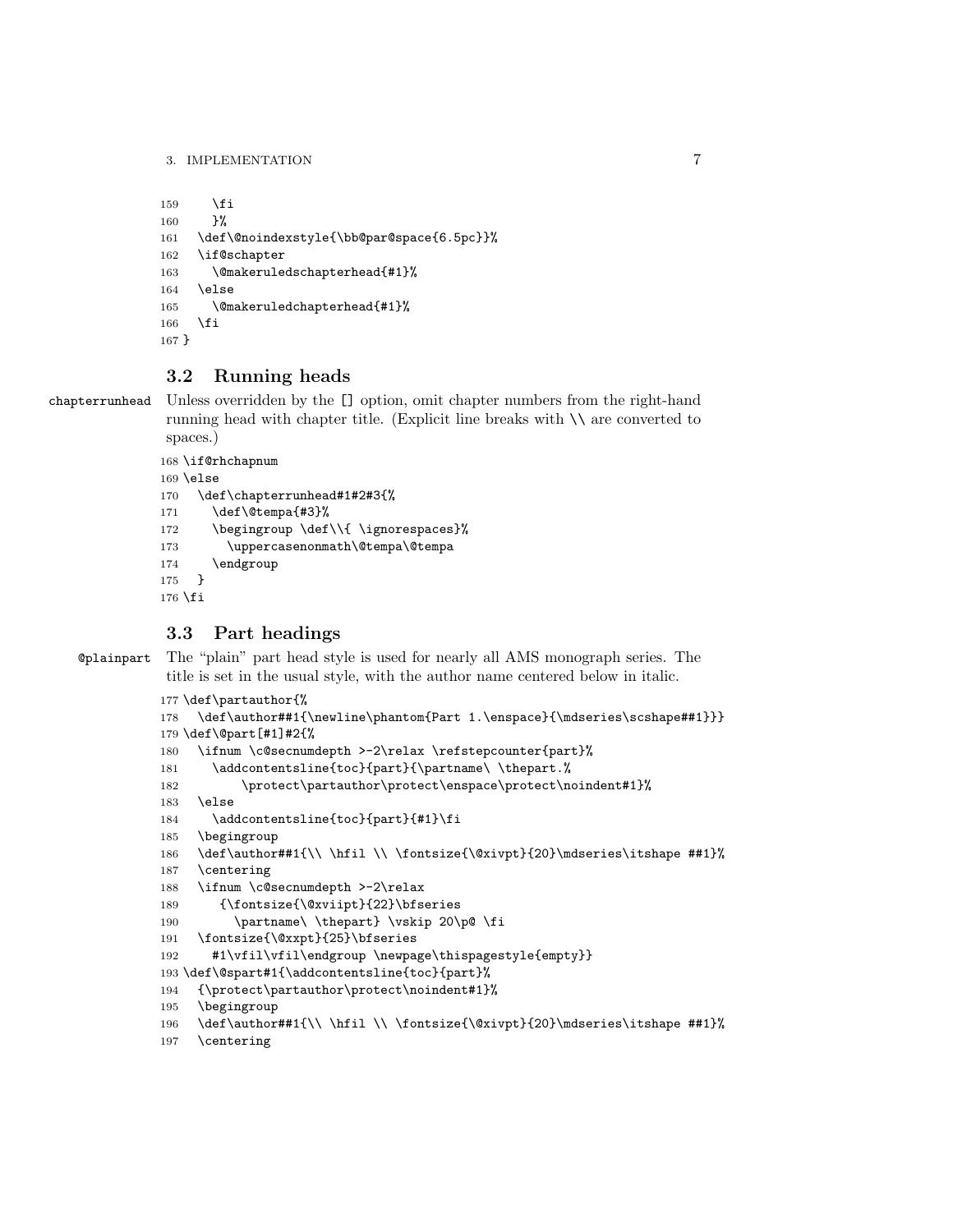```
159 \fi
160 }%
161 \def\@noindexstyle{\bb@par@space{6.5pc}}%
162 \if@schapter
163 \@makeruledschapterhead{#1}%
164 \else
165 \@makeruledchapterhead{#1}%
166 \fi
167 }
```
### 3.2 Running heads

chapterrunhead Unless overridden by the [] option, omit chapter numbers from the right-hand running head with chapter title. (Explicit line breaks with \\ are converted to spaces.)

```
168 \if@rhchapnum
169 \else
170 \def\chapterrunhead#1#2#3{%
171 \def\@tempa{#3}%
172 \begingroup \def\\{ \ignorespaces}%
173 \uppercasenonmath\@tempa\@tempa
174 \endgroup
175 }
176 \fi
```
### 3.3 Part headings

@plainpart The "plain" part head style is used for nearly all AMS monograph series. The title is set in the usual style, with the author name centered below in italic.

```
177 \def\partauthor{%
178 \def\author##1{\newline\phantom{Part 1.\enspace}{\mdseries\scshape##1}}}
179 \def\@part[#1]#2{%
180 \ifnum \c@secnumdepth >-2\relax \refstepcounter{part}%
181 \addcontentsline{toc}{part}{\partname\ \thepart.%
182 \protect\partauthor\protect\enspace\protect\noindent#1}%
183 \else
184 \addcontentsline{toc}{part}{#1}\fi
185 \begingroup
186 \def\author##1{\\ \hfil \\ \fontsize{\@xivpt}{20}\mdseries\itshape ##1}%
187 \centering
188 \ifnum \c@secnumdepth >-2\relax
189 {\fontsize{\@xviipt}{22}\bfseries
190 \partname\ \thepart} \vskip 20\p@ \fi
191 \fontsize{\@xxpt}{25}\bfseries
192 #1\vfil\vfil\endgroup \newpage\thispagestyle{empty}}
193 \def\@spart#1{\addcontentsline{toc}{part}%
194 {\protect\partauthor\protect\noindent#1}%
195 \begingroup
196 \def\author##1{\\ \hfil \\ \fontsize{\@xivpt}{20}\mdseries\itshape ##1}%
197 \centering
```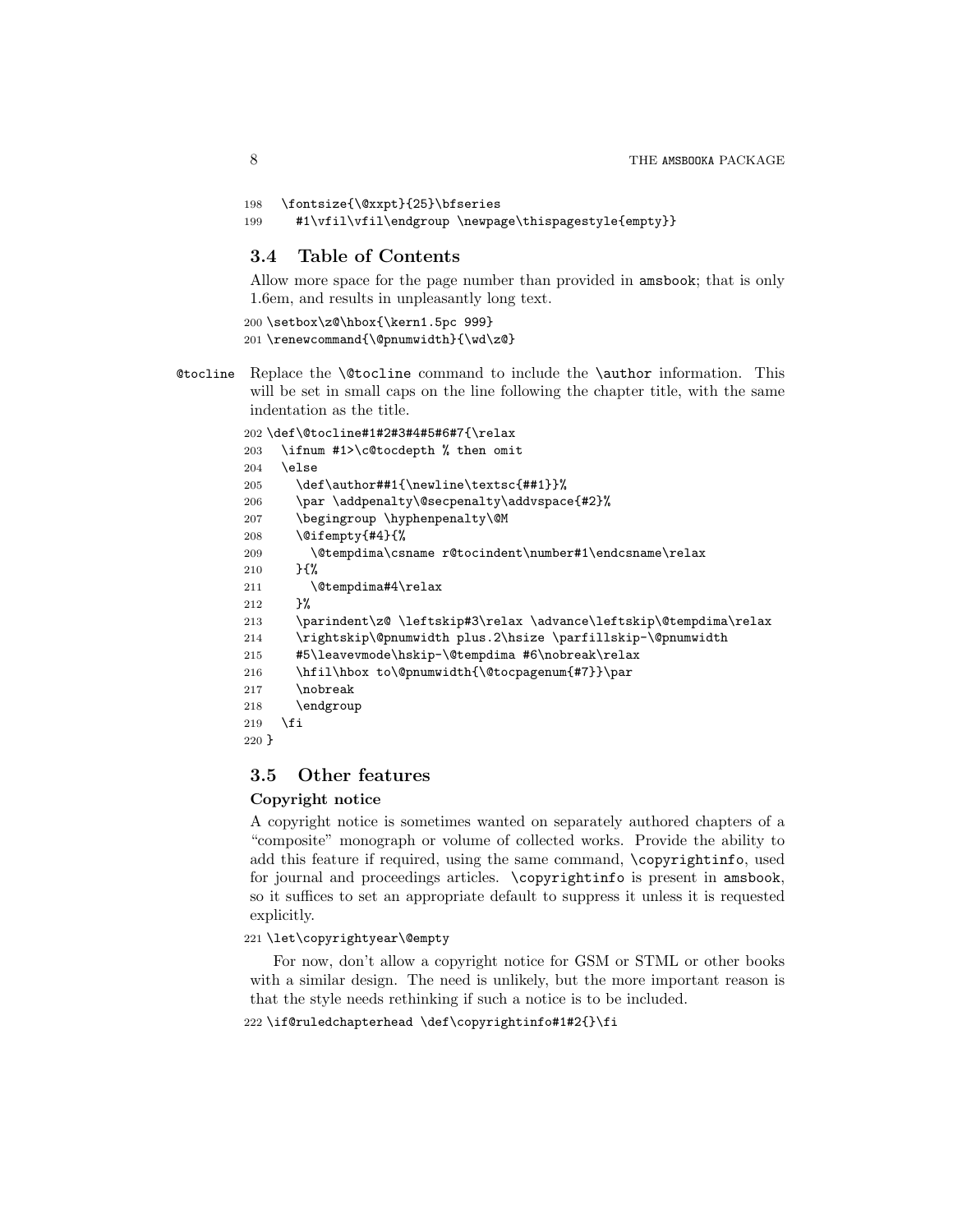```
198 \fontsize{\@xxpt}{25}\bfseries
```

```
199 #1\vfil\vfil\endgroup \newpage\thispagestyle{empty}}
```
### 3.4 Table of Contents

Allow more space for the page number than provided in amsbook; that is only 1.6em, and results in unpleasantly long text.

```
200 \setbox\z@\hbox{\kern1.5pc 999}
201 \renewcommand{\@pnumwidth}{\wd\z@}
```
@tocline Replace the \@tocline command to include the \author information. This will be set in small caps on the line following the chapter title, with the same indentation as the title.

```
202 \def\@tocline#1#2#3#4#5#6#7{\relax
203 \ifnum #1>\c@tocdepth % then omit
204 \else
205 \def\author##1{\newline\textsc{##1}}%
206 \par \addpenalty\@secpenalty\addvspace{#2}%
207 \begingroup \hyphenpenalty\@M
208 \@ifempty{#4}{%
209 \@tempdima\csname r@tocindent\number#1\endcsname\relax
210 \frac{1}{8}211 \@tempdima#4\relax
212 }%
213 \parindent\z@ \leftskip#3\relax \advance\leftskip\@tempdima\relax
214 \rightskip\@pnumwidth plus.2\hsize \parfillskip-\@pnumwidth
215 #5\leavevmode\hskip-\@tempdima #6\nobreak\relax
216 \hfil\hbox to\@pnumwidth{\@tocpagenum{#7}}\par
217 \nobreak
218 \endgroup
219 \mathbf{f}220 }
```
### 3.5 Other features

#### Copyright notice

A copyright notice is sometimes wanted on separately authored chapters of a "composite" monograph or volume of collected works. Provide the ability to add this feature if required, using the same command, \copyrightinfo, used for journal and proceedings articles. \copyrightinfo is present in amsbook, so it suffices to set an appropriate default to suppress it unless it is requested explicitly.

#### 221 \let\copyrightyear\@empty

For now, don't allow a copyright notice for GSM or STML or other books with a similar design. The need is unlikely, but the more important reason is that the style needs rethinking if such a notice is to be included.

```
222 \if@ruledchapterhead \def\copyrightinfo#1#2{}\fi
```